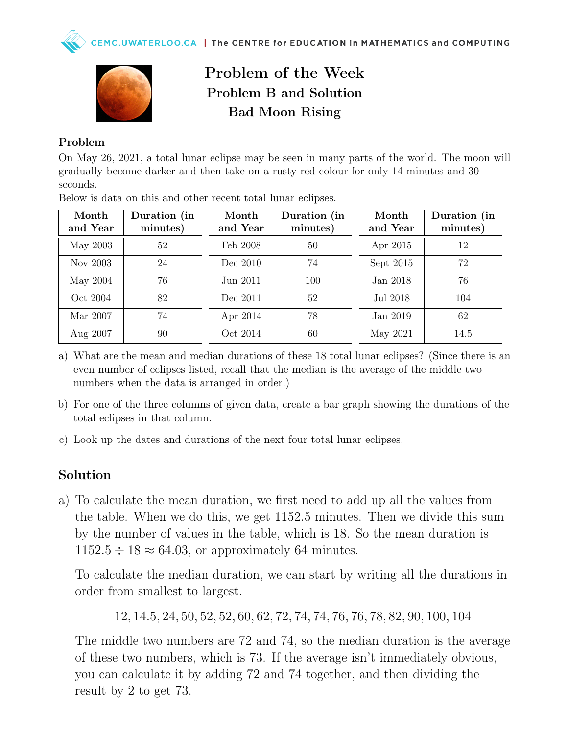

## Problem of the Week Problem B and Solution Bad Moon Rising

## Problem

On May 26, 2021, a total lunar eclipse may be seen in many parts of the world. The moon will gradually become darker and then take on a rusty red colour for only 14 minutes and 30 seconds.

| Month    | Duration (in | Month    | Duration (in | Month       | Duration (in |
|----------|--------------|----------|--------------|-------------|--------------|
| and Year | minutes)     | and Year | minutes)     | and Year    | minutes)     |
| May 2003 | 52           | Feb 2008 | 50           | Apr 2015    | 12           |
| Nov 2003 | 24           | Dec 2010 | 74           | Sept $2015$ | 72           |
| May 2004 | 76           | Jun 2011 | 100          | Jan 2018    | 76           |
| Oct 2004 | 82           | Dec 2011 | 52           | Jul 2018    | 104          |
| Mar 2007 | 74           | Apr 2014 | 78           | Jan 2019    | 62           |
| Aug 2007 | 90           | Oct 2014 | 60           | May 2021    | 14.5         |

Below is data on this and other recent total lunar eclipses.

- a) What are the mean and median durations of these 18 total lunar eclipses? (Since there is an even number of eclipses listed, recall that the median is the average of the middle two numbers when the data is arranged in order.)
- b) For one of the three columns of given data, create a bar graph showing the durations of the total eclipses in that column.
- c) Look up the dates and durations of the next four total lunar eclipses.

## Solution

a) To calculate the mean duration, we first need to add up all the values from the table. When we do this, we get 1152.5 minutes. Then we divide this sum by the number of values in the table, which is 18. So the mean duration is  $1152.5 \div 18 \approx 64.03$ , or approximately 64 minutes.

To calculate the median duration, we can start by writing all the durations in order from smallest to largest.

12, 14.5, 24, 50, 52, 52, 60, 62, 72, 74, 74, 76, 76, 78, 82, 90, 100, 104

The middle two numbers are 72 and 74, so the median duration is the average of these two numbers, which is 73. If the average isn't immediately obvious, you can calculate it by adding 72 and 74 together, and then dividing the result by 2 to get 73.